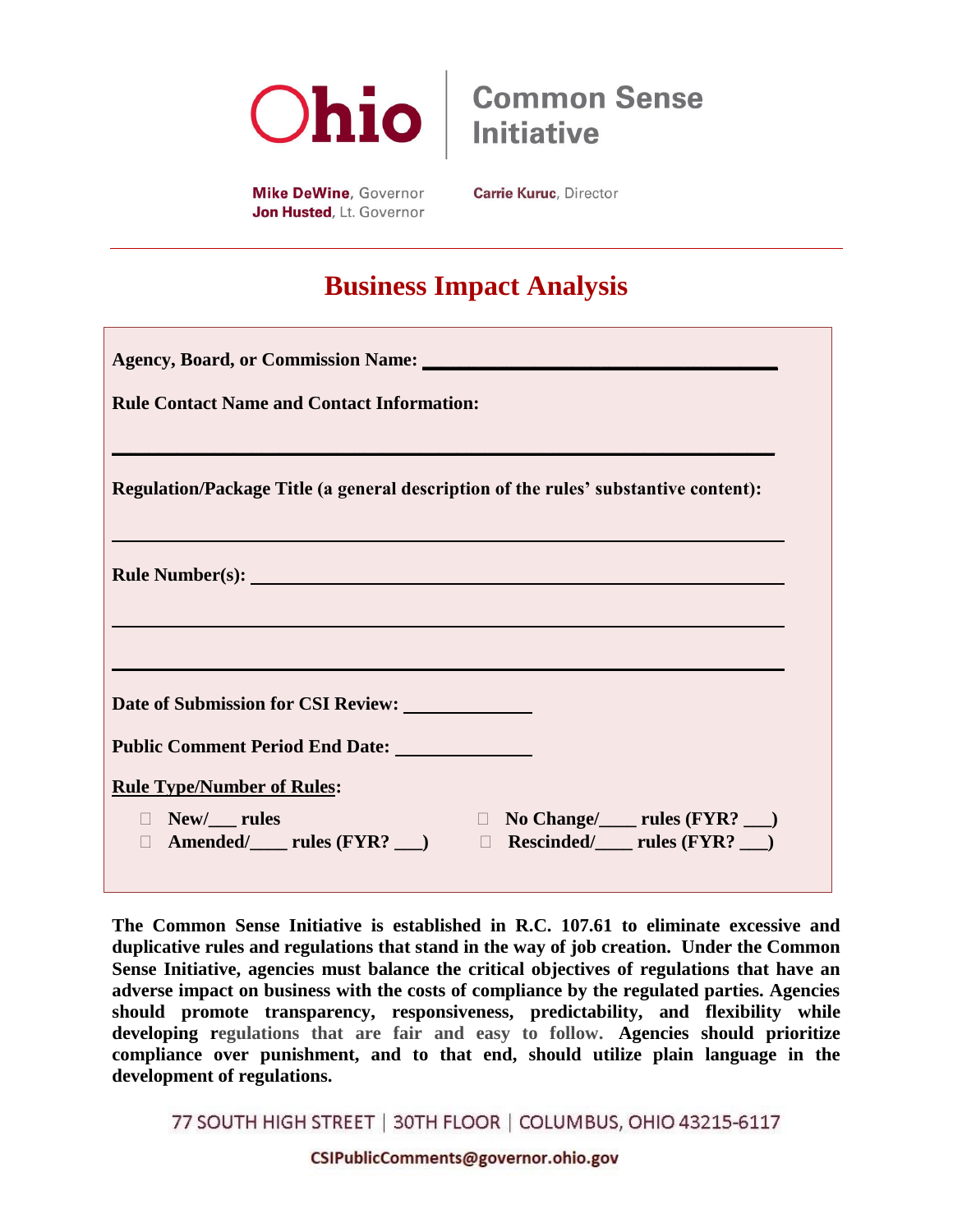

**Common Sense Initiative** 

**Mike DeWine, Governor** Jon Husted, Lt. Governor **Carrie Kuruc, Director** 

# **Business Impact Analysis**

| Agency, Board, or Commission Name:                                                                                                         |
|--------------------------------------------------------------------------------------------------------------------------------------------|
| <b>Rule Contact Name and Contact Information:</b>                                                                                          |
|                                                                                                                                            |
| Regulation/Package Title (a general description of the rules' substantive content):                                                        |
|                                                                                                                                            |
| <b>Rule Number(s):</b> Number(s):                                                                                                          |
|                                                                                                                                            |
|                                                                                                                                            |
|                                                                                                                                            |
| <b>Rule Type/Number of Rules:</b>                                                                                                          |
| □ New/___ rules<br>□ Amended/_____ rules (FYR? ___)<br>□ Rescinded/_____ rules (FYR? ___)<br>$\Box$ No Change/ $\Box$ rules (FYR? $\Box$ ) |

**The Common Sense Initiative is established in R.C. 107.61 to eliminate excessive and duplicative rules and regulations that stand in the way of job creation. Under the Common Sense Initiative, agencies must balance the critical objectives of regulations that have an adverse impact on business with the costs of compliance by the regulated parties. Agencies should promote transparency, responsiveness, predictability, and flexibility while developing regulations that are fair and easy to follow. Agencies should prioritize compliance over punishment, and to that end, should utilize plain language in the development of regulations.** 

77 SOUTH HIGH STREET | 30TH FLOOR | COLUMBUS, OHIO 43215-6117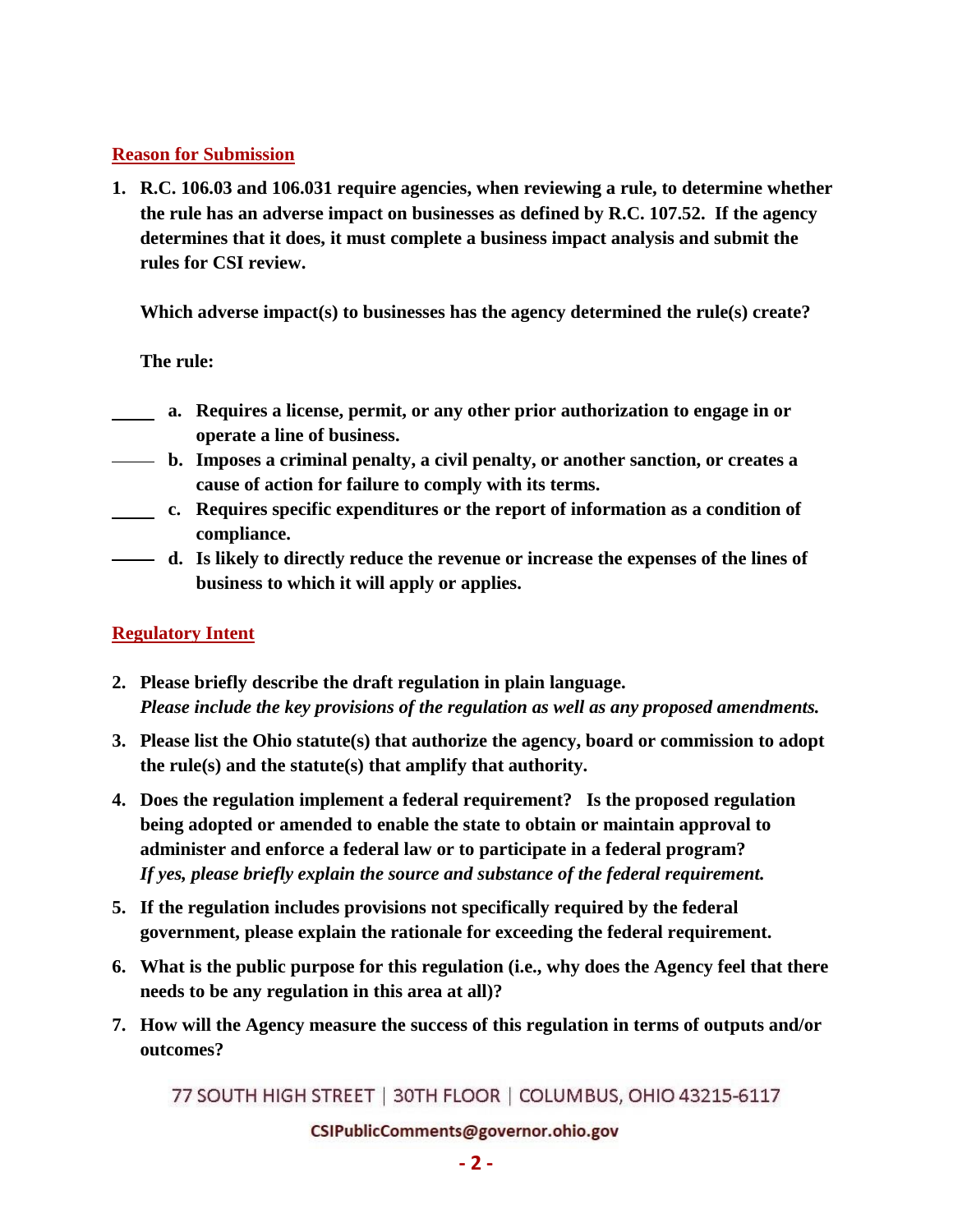## **Reason for Submission**

**1. R.C. 106.03 and 106.031 require agencies, when reviewing a rule, to determine whether the rule has an adverse impact on businesses as defined by R.C. 107.52. If the agency determines that it does, it must complete a business impact analysis and submit the rules for CSI review.** 

**Which adverse impact(s) to businesses has the agency determined the rule(s) create?** 

## **The rule:**

- **a. Requires a license, permit, or any other prior authorization to engage in or operate a line of business.**
- **b. Imposes a criminal penalty, a civil penalty, or another sanction, or creates a cause of action for failure to comply with its terms.**
- **c. Requires specific expenditures or the report of information as a condition of compliance.**
- **d. Is likely to directly reduce the revenue or increase the expenses of the lines of business to which it will apply or applies.**

## **Regulatory Intent**

- **2. Please briefly describe the draft regulation in plain language.**  *Please include the key provisions of the regulation as well as any proposed amendments.*
- **3. Please list the Ohio statute(s) that authorize the agency, board or commission to adopt the rule(s) and the statute(s) that amplify that authority.**
- **4. Does the regulation implement a federal requirement? Is the proposed regulation being adopted or amended to enable the state to obtain or maintain approval to administer and enforce a federal law or to participate in a federal program?** *If yes, please briefly explain the source and substance of the federal requirement.*
- **5. If the regulation includes provisions not specifically required by the federal government, please explain the rationale for exceeding the federal requirement.**
- **6. What is the public purpose for this regulation (i.e., why does the Agency feel that there needs to be any regulation in this area at all)?**
- **7. How will the Agency measure the success of this regulation in terms of outputs and/or outcomes?**

77 SOUTH HIGH STREET | 30TH FLOOR | COLUMBUS, OHIO 43215-6117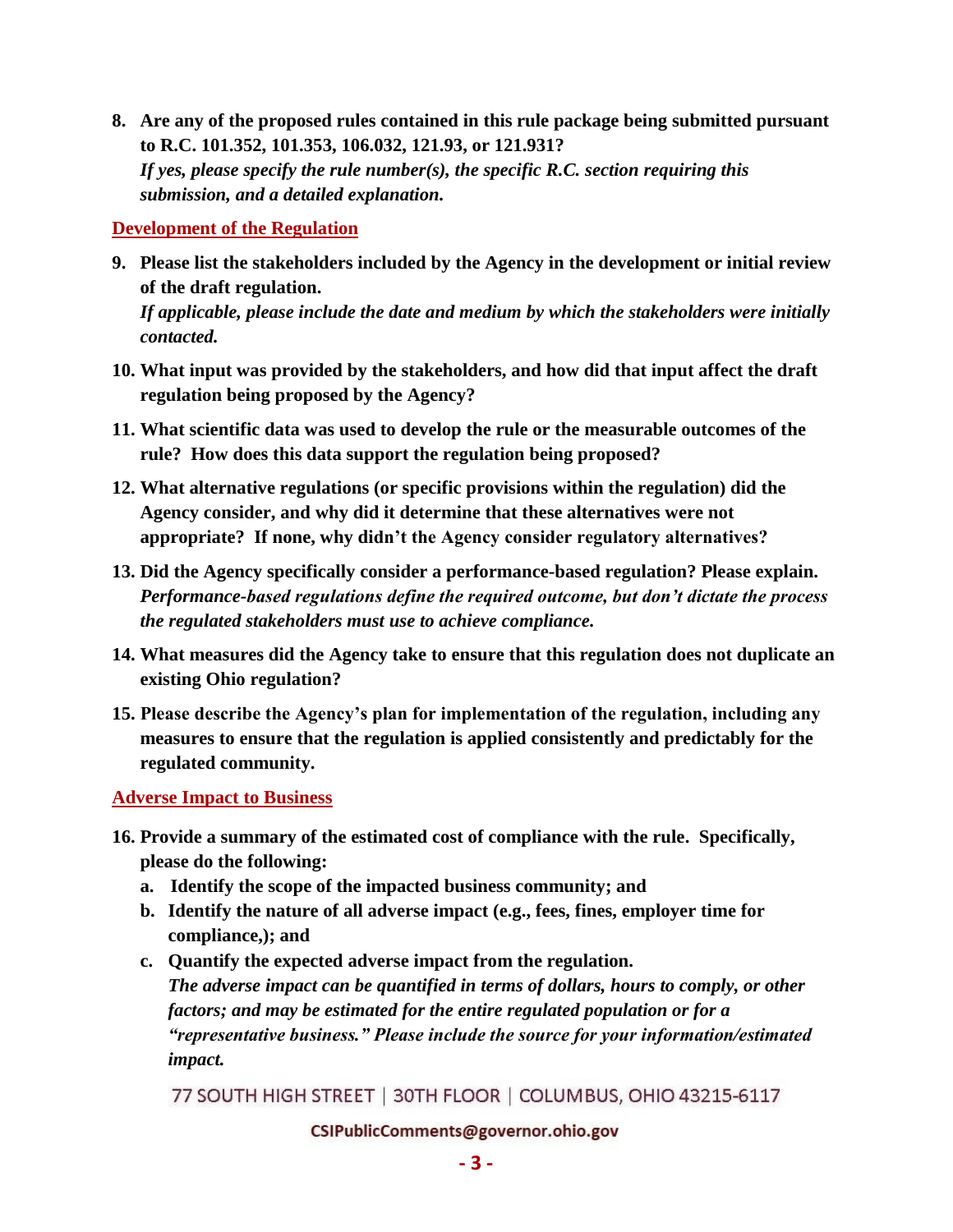**8. Are any of the proposed rules contained in this rule package being submitted pursuant to R.C. 101.352, 101.353, 106.032, 121.93, or 121.931?**  *If yes, please specify the rule number(s), the specific R.C. section requiring this submission, and a detailed explanation.*

**Development of the Regulation**

**9. Please list the stakeholders included by the Agency in the development or initial review of the draft regulation.** 

*If applicable, please include the date and medium by which the stakeholders were initially contacted.*

- **10. What input was provided by the stakeholders, and how did that input affect the draft regulation being proposed by the Agency?**
- **11. What scientific data was used to develop the rule or the measurable outcomes of the rule? How does this data support the regulation being proposed?**
- **12. What alternative regulations (or specific provisions within the regulation) did the Agency consider, and why did it determine that these alternatives were not appropriate? If none, why didn't the Agency consider regulatory alternatives?**
- **13. Did the Agency specifically consider a performance-based regulation? Please explain.** *Performance-based regulations define the required outcome, but don't dictate the process the regulated stakeholders must use to achieve compliance.*
- **14. What measures did the Agency take to ensure that this regulation does not duplicate an existing Ohio regulation?**
- **15. Please describe the Agency's plan for implementation of the regulation, including any measures to ensure that the regulation is applied consistently and predictably for the regulated community.**

**Adverse Impact to Business**

- **16. Provide a summary of the estimated cost of compliance with the rule. Specifically, please do the following:**
	- **a. Identify the scope of the impacted business community; and**
	- **b. Identify the nature of all adverse impact (e.g., fees, fines, employer time for compliance,); and**
	- **c. Quantify the expected adverse impact from the regulation.**   *The adverse impact can be quantified in terms of dollars, hours to comply, or other factors; and may be estimated for the entire regulated population or for a "representative business." Please include the source for your information/estimated impact.*

77 SOUTH HIGH STREET | 30TH FLOOR | COLUMBUS, OHIO 43215-6117